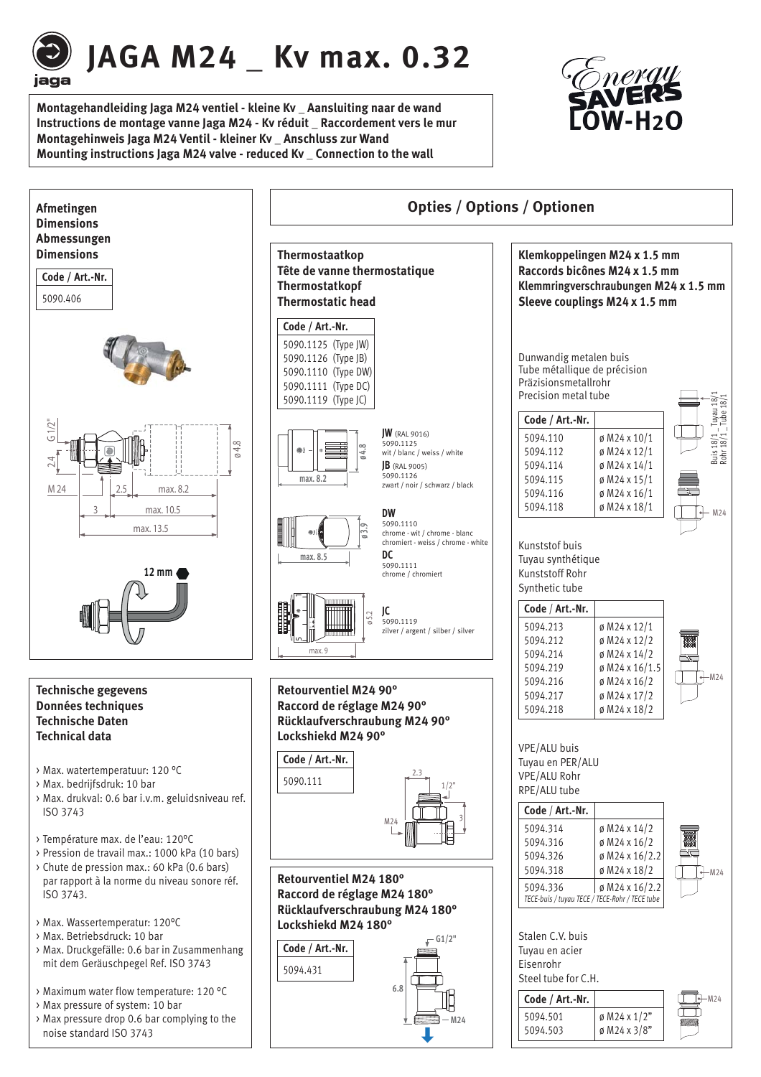

# **JAGA M24 \_ Kv max. 0.32**

**Montagehandleiding Jaga M24 ventiel - kleine Kv \_ Aansluiting naar de wand Instructions de montage vanne Jaga M24 - Kv réduit \_ Raccordement vers le mur Montagehinweis Jaga M24 Ventil - kleiner Kv \_ Anschluss zur Wand**